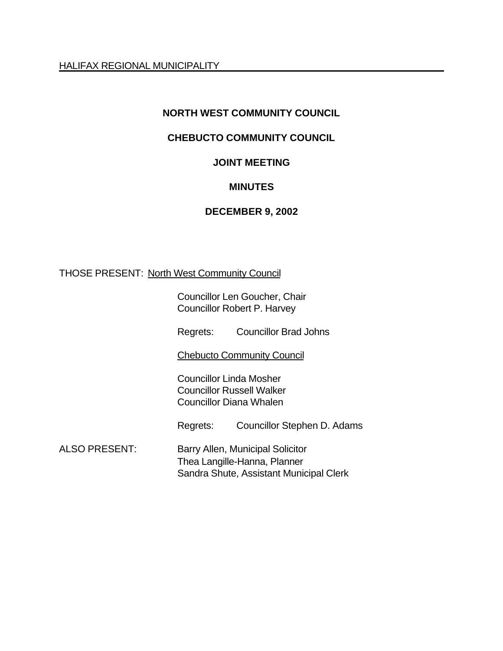HALIFAX REGIONAL MUNICIPALITY

## **NORTH WEST COMMUNITY COUNCIL**

## **CHEBUCTO COMMUNITY COUNCIL**

#### **JOINT MEETING**

#### **MINUTES**

#### **DECEMBER 9, 2002**

#### THOSE PRESENT: North West Community Council

Councillor Len Goucher, Chair Councillor Robert P. Harvey

Regrets: Councillor Brad Johns

Chebucto Community Council

Councillor Linda Mosher Councillor Russell Walker Councillor Diana Whalen

Regrets: Councillor Stephen D. Adams

ALSO PRESENT: Barry Allen, Municipal Solicitor Thea Langille-Hanna, Planner Sandra Shute, Assistant Municipal Clerk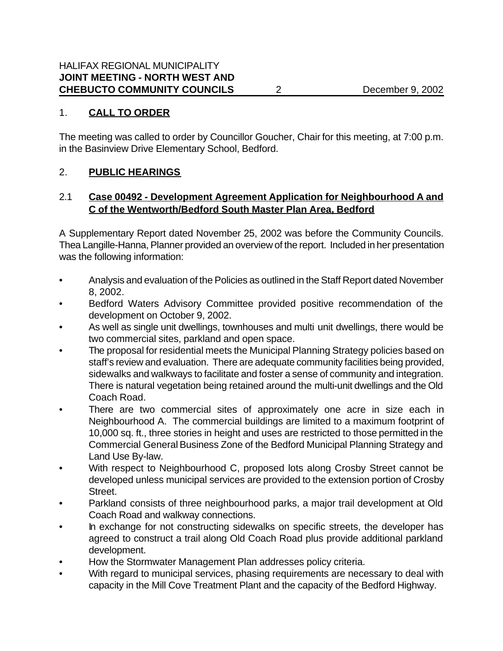#### 1. **CALL TO ORDER**

The meeting was called to order by Councillor Goucher, Chair for this meeting, at 7:00 p.m. in the Basinview Drive Elementary School, Bedford.

#### 2. **PUBLIC HEARINGS**

# 2.1 **Case 00492 - Development Agreement Application for Neighbourhood A and C of the Wentworth/Bedford South Master Plan Area, Bedford**

A Supplementary Report dated November 25, 2002 was before the Community Councils. Thea Langille-Hanna, Planner provided an overview of the report. Included in her presentation was the following information:

- Analysis and evaluation of the Policies as outlined in the Staff Report dated November 8, 2002.
- Bedford Waters Advisory Committee provided positive recommendation of the development on October 9, 2002.
- As well as single unit dwellings, townhouses and multi unit dwellings, there would be two commercial sites, parkland and open space.
- The proposal for residential meets the Municipal Planning Strategy policies based on staff's review and evaluation. There are adequate community facilities being provided, sidewalks and walkways to facilitate and foster a sense of community and integration. There is natural vegetation being retained around the multi-unit dwellings and the Old Coach Road.
- There are two commercial sites of approximately one acre in size each in Neighbourhood A. The commercial buildings are limited to a maximum footprint of 10,000 sq. ft., three stories in height and uses are restricted to those permitted in the Commercial General Business Zone of the Bedford Municipal Planning Strategy and Land Use By-law.
- With respect to Neighbourhood C, proposed lots along Crosby Street cannot be developed unless municipal services are provided to the extension portion of Crosby Street.
- Parkland consists of three neighbourhood parks, a major trail development at Old Coach Road and walkway connections.
- In exchange for not constructing sidewalks on specific streets, the developer has agreed to construct a trail along Old Coach Road plus provide additional parkland development.
- How the Stormwater Management Plan addresses policy criteria.
- With regard to municipal services, phasing requirements are necessary to deal with capacity in the Mill Cove Treatment Plant and the capacity of the Bedford Highway.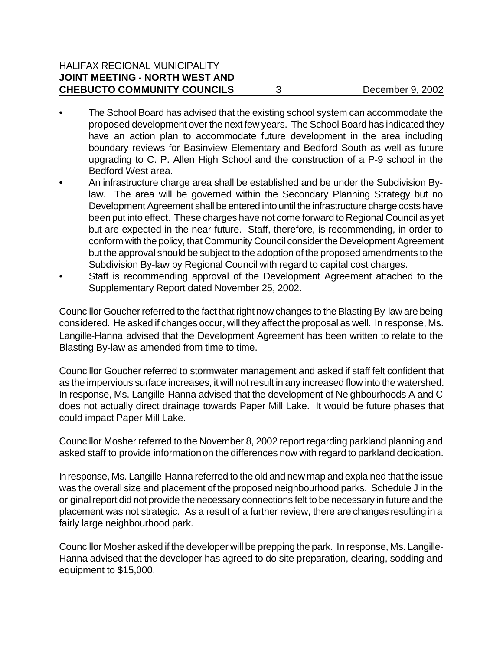- The School Board has advised that the existing school system can accommodate the proposed development over the next few years. The School Board has indicated they have an action plan to accommodate future development in the area including boundary reviews for Basinview Elementary and Bedford South as well as future upgrading to C. P. Allen High School and the construction of a P-9 school in the Bedford West area.
- An infrastructure charge area shall be established and be under the Subdivision Bylaw. The area will be governed within the Secondary Planning Strategy but no Development Agreement shall be entered into until the infrastructure charge costs have been put into effect. These charges have not come forward to Regional Council as yet but are expected in the near future. Staff, therefore, is recommending, in order to conform with the policy, that Community Council consider the Development Agreement but the approval should be subject to the adoption of the proposed amendments to the Subdivision By-law by Regional Council with regard to capital cost charges.
- Staff is recommending approval of the Development Agreement attached to the Supplementary Report dated November 25, 2002.

Councillor Goucher referred to the fact that right now changes to the Blasting By-law are being considered. He asked if changes occur, will they affect the proposal as well. In response, Ms. Langille-Hanna advised that the Development Agreement has been written to relate to the Blasting By-law as amended from time to time.

Councillor Goucher referred to stormwater management and asked if staff felt confident that as the impervious surface increases, it will not result in any increased flow into the watershed. In response, Ms. Langille-Hanna advised that the development of Neighbourhoods A and C does not actually direct drainage towards Paper Mill Lake. It would be future phases that could impact Paper Mill Lake.

Councillor Mosher referred to the November 8, 2002 report regarding parkland planning and asked staff to provide information on the differences now with regard to parkland dedication.

In response, Ms. Langille-Hanna referred to the old and new map and explained that the issue was the overall size and placement of the proposed neighbourhood parks. Schedule J in the original report did not provide the necessary connections felt to be necessary in future and the placement was not strategic. As a result of a further review, there are changes resulting in a fairly large neighbourhood park.

Councillor Mosher asked if the developer will be prepping the park. In response, Ms. Langille-Hanna advised that the developer has agreed to do site preparation, clearing, sodding and equipment to \$15,000.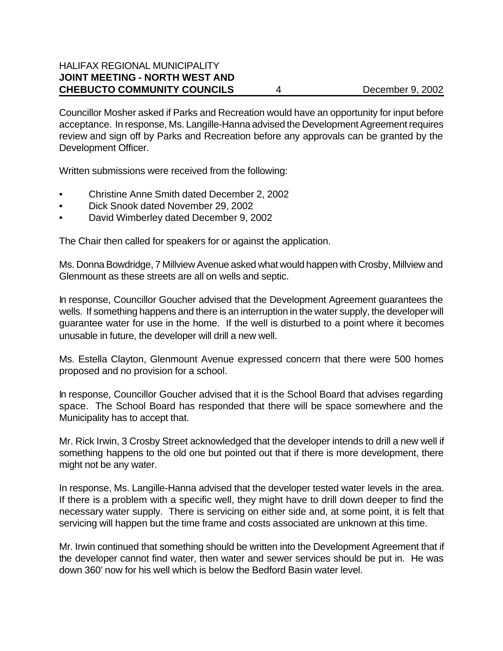Councillor Mosher asked if Parks and Recreation would have an opportunity for input before acceptance. In response, Ms. Langille-Hanna advised the Development Agreement requires review and sign off by Parks and Recreation before any approvals can be granted by the Development Officer.

Written submissions were received from the following:

- Christine Anne Smith dated December 2, 2002
- Dick Snook dated November 29, 2002
- David Wimberley dated December 9, 2002

The Chair then called for speakers for or against the application.

Ms. Donna Bowdridge, 7 Millview Avenue asked what would happen with Crosby, Millview and Glenmount as these streets are all on wells and septic.

In response, Councillor Goucher advised that the Development Agreement guarantees the wells. If something happens and there is an interruption in the water supply, the developer will guarantee water for use in the home. If the well is disturbed to a point where it becomes unusable in future, the developer will drill a new well.

Ms. Estella Clayton, Glenmount Avenue expressed concern that there were 500 homes proposed and no provision for a school.

In response, Councillor Goucher advised that it is the School Board that advises regarding space. The School Board has responded that there will be space somewhere and the Municipality has to accept that.

Mr. Rick Irwin, 3 Crosby Street acknowledged that the developer intends to drill a new well if something happens to the old one but pointed out that if there is more development, there might not be any water.

In response, Ms. Langille-Hanna advised that the developer tested water levels in the area. If there is a problem with a specific well, they might have to drill down deeper to find the necessary water supply. There is servicing on either side and, at some point, it is felt that servicing will happen but the time frame and costs associated are unknown at this time.

Mr. Irwin continued that something should be written into the Development Agreement that if the developer cannot find water, then water and sewer services should be put in. He was down 360' now for his well which is below the Bedford Basin water level.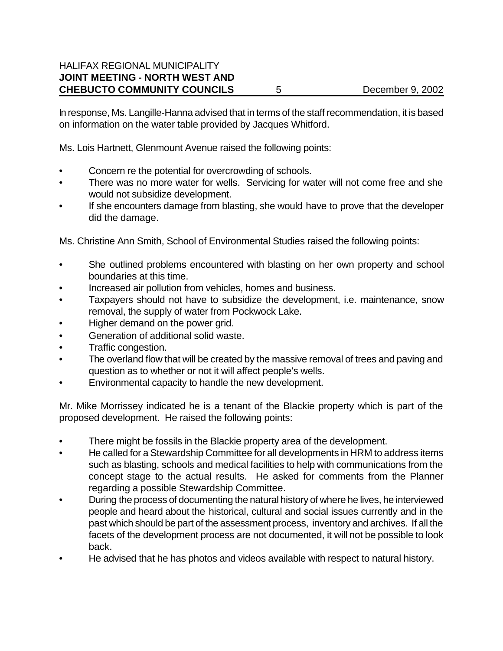In response, Ms. Langille-Hanna advised that in terms of the staff recommendation, it is based on information on the water table provided by Jacques Whitford.

Ms. Lois Hartnett, Glenmount Avenue raised the following points:

- Concern re the potential for overcrowding of schools.
- There was no more water for wells. Servicing for water will not come free and she would not subsidize development.
- If she encounters damage from blasting, she would have to prove that the developer did the damage.

Ms. Christine Ann Smith, School of Environmental Studies raised the following points:

- She outlined problems encountered with blasting on her own property and school boundaries at this time.
- Increased air pollution from vehicles, homes and business.
- Taxpayers should not have to subsidize the development, i.e. maintenance, snow removal, the supply of water from Pockwock Lake.
- Higher demand on the power grid.
- Generation of additional solid waste.
- Traffic congestion.
- The overland flow that will be created by the massive removal of trees and paving and question as to whether or not it will affect people's wells.
- Environmental capacity to handle the new development.

Mr. Mike Morrissey indicated he is a tenant of the Blackie property which is part of the proposed development. He raised the following points:

- There might be fossils in the Blackie property area of the development.
- He called for a Stewardship Committee for all developments in HRM to address items such as blasting, schools and medical facilities to help with communications from the concept stage to the actual results. He asked for comments from the Planner regarding a possible Stewardship Committee.
- During the process of documenting the natural history of where he lives, he interviewed people and heard about the historical, cultural and social issues currently and in the past which should be part of the assessment process, inventory and archives. If all the facets of the development process are not documented, it will not be possible to look back.
- He advised that he has photos and videos available with respect to natural history.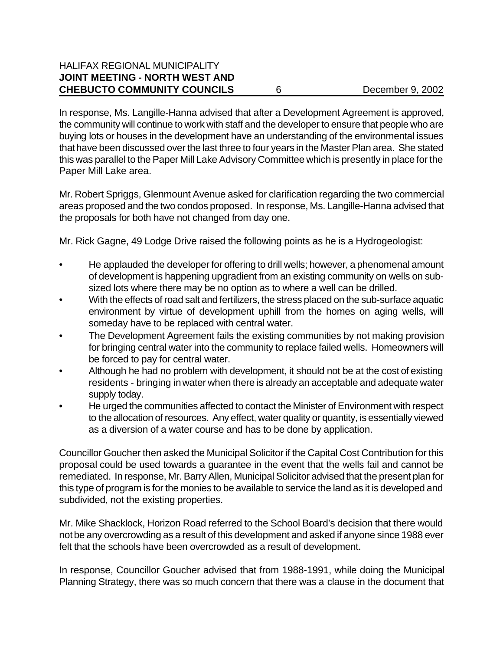In response, Ms. Langille-Hanna advised that after a Development Agreement is approved, the community will continue to work with staff and the developer to ensure that people who are buying lots or houses in the development have an understanding of the environmental issues that have been discussed over the last three to four years in the Master Plan area. She stated this was parallel to the Paper Mill Lake Advisory Committee which is presently in place for the Paper Mill Lake area.

Mr. Robert Spriggs, Glenmount Avenue asked for clarification regarding the two commercial areas proposed and the two condos proposed. In response, Ms. Langille-Hanna advised that the proposals for both have not changed from day one.

Mr. Rick Gagne, 49 Lodge Drive raised the following points as he is a Hydrogeologist:

- He applauded the developer for offering to drill wells; however, a phenomenal amount of development is happening upgradient from an existing community on wells on subsized lots where there may be no option as to where a well can be drilled.
- With the effects of road salt and fertilizers, the stress placed on the sub-surface aquatic environment by virtue of development uphill from the homes on aging wells, will someday have to be replaced with central water.
- The Development Agreement fails the existing communities by not making provision for bringing central water into the community to replace failed wells. Homeowners will be forced to pay for central water.
- Although he had no problem with development, it should not be at the cost of existing residents - bringing in water when there is already an acceptable and adequate water supply today.
- He urged the communities affected to contact the Minister of Environment with respect to the allocation of resources. Any effect, water quality or quantity, is essentially viewed as a diversion of a water course and has to be done by application.

Councillor Goucher then asked the Municipal Solicitor if the Capital Cost Contribution for this proposal could be used towards a guarantee in the event that the wells fail and cannot be remediated. In response, Mr. Barry Allen, Municipal Solicitor advised that the present plan for this type of program is for the monies to be available to service the land as it is developed and subdivided, not the existing properties.

Mr. Mike Shacklock, Horizon Road referred to the School Board's decision that there would not be any overcrowding as a result of this development and asked if anyone since 1988 ever felt that the schools have been overcrowded as a result of development.

In response, Councillor Goucher advised that from 1988-1991, while doing the Municipal Planning Strategy, there was so much concern that there was a clause in the document that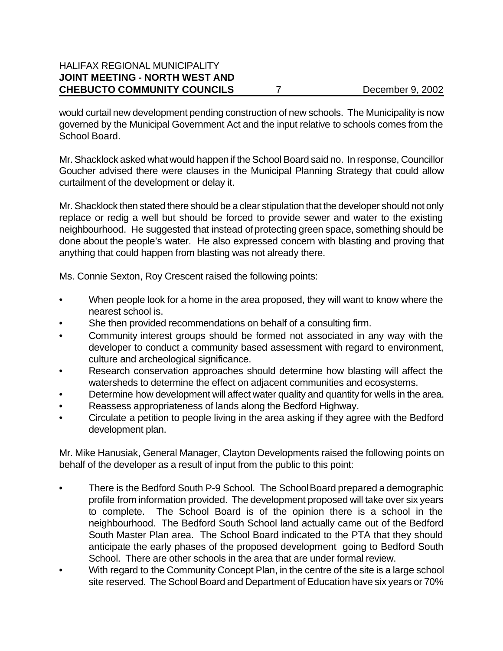would curtail new development pending construction of new schools. The Municipality is now governed by the Municipal Government Act and the input relative to schools comes from the School Board.

Mr. Shacklock asked what would happen if the School Board said no. In response, Councillor Goucher advised there were clauses in the Municipal Planning Strategy that could allow curtailment of the development or delay it.

Mr. Shacklock then stated there should be a clear stipulation that the developer should not only replace or redig a well but should be forced to provide sewer and water to the existing neighbourhood. He suggested that instead of protecting green space, something should be done about the people's water. He also expressed concern with blasting and proving that anything that could happen from blasting was not already there.

Ms. Connie Sexton, Roy Crescent raised the following points:

- When people look for a home in the area proposed, they will want to know where the nearest school is.
- She then provided recommendations on behalf of a consulting firm.
- Community interest groups should be formed not associated in any way with the developer to conduct a community based assessment with regard to environment, culture and archeological significance.
- Research conservation approaches should determine how blasting will affect the watersheds to determine the effect on adjacent communities and ecosystems.
- Determine how development will affect water quality and quantity for wells in the area.
- Reassess appropriateness of lands along the Bedford Highway.
- Circulate a petition to people living in the area asking if they agree with the Bedford development plan.

Mr. Mike Hanusiak, General Manager, Clayton Developments raised the following points on behalf of the developer as a result of input from the public to this point:

- There is the Bedford South P-9 School. The School Board prepared a demographic profile from information provided. The development proposed will take over six years to complete. The School Board is of the opinion there is a school in the neighbourhood. The Bedford South School land actually came out of the Bedford South Master Plan area. The School Board indicated to the PTA that they should anticipate the early phases of the proposed development going to Bedford South School. There are other schools in the area that are under formal review.
- With regard to the Community Concept Plan, in the centre of the site is a large school site reserved. The School Board and Department of Education have six years or 70%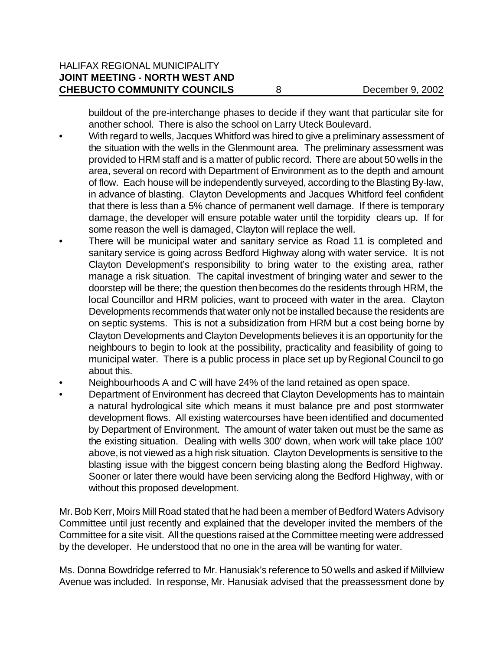buildout of the pre-interchange phases to decide if they want that particular site for another school. There is also the school on Larry Uteck Boulevard.

- With regard to wells, Jacques Whitford was hired to give a preliminary assessment of the situation with the wells in the Glenmount area. The preliminary assessment was provided to HRM staff and is a matter of public record. There are about 50 wells in the area, several on record with Department of Environment as to the depth and amount of flow. Each house will be independently surveyed, according to the Blasting By-law, in advance of blasting. Clayton Developments and Jacques Whitford feel confident that there is less than a 5% chance of permanent well damage. If there is temporary damage, the developer will ensure potable water until the torpidity clears up. If for some reason the well is damaged, Clayton will replace the well.
- There will be municipal water and sanitary service as Road 11 is completed and sanitary service is going across Bedford Highway along with water service. It is not Clayton Development's responsibility to bring water to the existing area, rather manage a risk situation. The capital investment of bringing water and sewer to the doorstep will be there; the question then becomes do the residents through HRM, the local Councillor and HRM policies, want to proceed with water in the area. Clayton Developments recommends that water only not be installed because the residents are on septic systems. This is not a subsidization from HRM but a cost being borne by Clayton Developments and Clayton Developments believes it is an opportunity for the neighbours to begin to look at the possibility, practicality and feasibility of going to municipal water. There is a public process in place set up by Regional Council to go about this.
- Neighbourhoods A and C will have 24% of the land retained as open space.
- Department of Environment has decreed that Clayton Developments has to maintain a natural hydrological site which means it must balance pre and post stormwater development flows. All existing watercourses have been identified and documented by Department of Environment. The amount of water taken out must be the same as the existing situation. Dealing with wells 300' down, when work will take place 100' above, is not viewed as a high risk situation. Clayton Developments is sensitive to the blasting issue with the biggest concern being blasting along the Bedford Highway. Sooner or later there would have been servicing along the Bedford Highway, with or without this proposed development.

Mr. Bob Kerr, Moirs Mill Road stated that he had been a member of Bedford Waters Advisory Committee until just recently and explained that the developer invited the members of the Committee for a site visit. All the questions raised at the Committee meeting were addressed by the developer. He understood that no one in the area will be wanting for water.

Ms. Donna Bowdridge referred to Mr. Hanusiak's reference to 50 wells and asked if Millview Avenue was included. In response, Mr. Hanusiak advised that the preassessment done by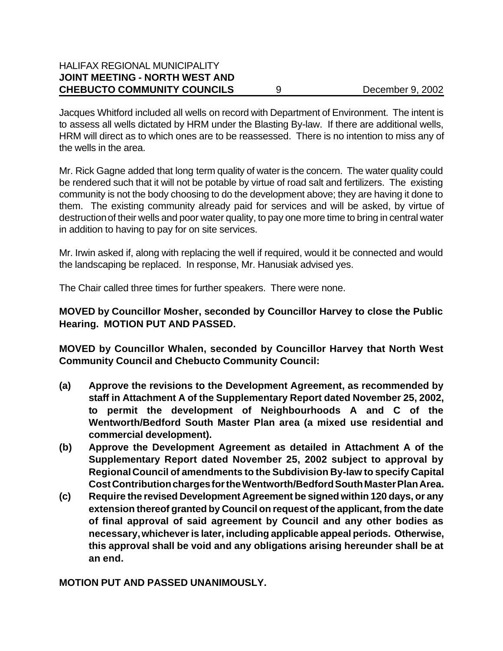#### HALIFAX REGIONAL MUNICIPALITY **JOINT MEETING - NORTH WEST AND CHEBUCTO COMMUNITY COUNCILS** 9 December 9, 2002

Jacques Whitford included all wells on record with Department of Environment. The intent is to assess all wells dictated by HRM under the Blasting By-law. If there are additional wells, HRM will direct as to which ones are to be reassessed. There is no intention to miss any of the wells in the area.

Mr. Rick Gagne added that long term quality of water is the concern. The water quality could be rendered such that it will not be potable by virtue of road salt and fertilizers. The existing community is not the body choosing to do the development above; they are having it done to them. The existing community already paid for services and will be asked, by virtue of destruction of their wells and poor water quality, to pay one more time to bring in central water in addition to having to pay for on site services.

Mr. Irwin asked if, along with replacing the well if required, would it be connected and would the landscaping be replaced. In response, Mr. Hanusiak advised yes.

The Chair called three times for further speakers. There were none.

#### **MOVED by Councillor Mosher, seconded by Councillor Harvey to close the Public Hearing. MOTION PUT AND PASSED.**

**MOVED by Councillor Whalen, seconded by Councillor Harvey that North West Community Council and Chebucto Community Council:**

- **(a) Approve the revisions to the Development Agreement, as recommended by staff in Attachment A of the Supplementary Report dated November 25, 2002, to permit the development of Neighbourhoods A and C of the Wentworth/Bedford South Master Plan area (a mixed use residential and commercial development).**
- **(b) Approve the Development Agreement as detailed in Attachment A of the Supplementary Report dated November 25, 2002 subject to approval by Regional Council of amendments to the Subdivision By-law to specify Capital Cost Contribution charges for the Wentworth/Bedford South Master Plan Area.**
- **(c) Require the revised Development Agreement be signed within 120 days, or any extension thereof granted by Council on request of the applicant, from the date of final approval of said agreement by Council and any other bodies as necessary, whichever is later, including applicable appeal periods. Otherwise, this approval shall be void and any obligations arising hereunder shall be at an end.**

**MOTION PUT AND PASSED UNANIMOUSLY.**